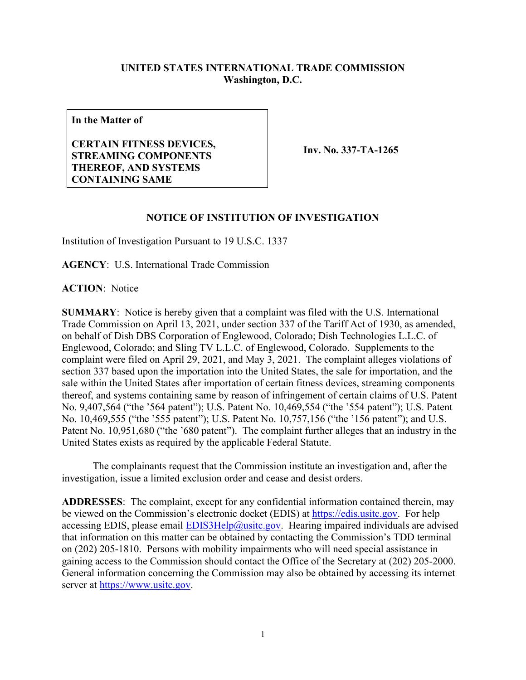## **UNITED STATES INTERNATIONAL TRADE COMMISSION Washington, D.C.**

**In the Matter of**

**CERTAIN FITNESS DEVICES, STREAMING COMPONENTS THEREOF, AND SYSTEMS CONTAINING SAME**

**Inv. No. 337-TA-1265**

## **NOTICE OF INSTITUTION OF INVESTIGATION**

Institution of Investigation Pursuant to 19 U.S.C. 1337

**AGENCY**: U.S. International Trade Commission

**ACTION**: Notice

**SUMMARY**: Notice is hereby given that a complaint was filed with the U.S. International Trade Commission on April 13, 2021, under section 337 of the Tariff Act of 1930, as amended, on behalf of Dish DBS Corporation of Englewood, Colorado; Dish Technologies L.L.C. of Englewood, Colorado; and Sling TV L.L.C. of Englewood, Colorado. Supplements to the complaint were filed on April 29, 2021, and May 3, 2021. The complaint alleges violations of section 337 based upon the importation into the United States, the sale for importation, and the sale within the United States after importation of certain fitness devices, streaming components thereof, and systems containing same by reason of infringement of certain claims of U.S. Patent No. 9,407,564 ("the '564 patent"); U.S. Patent No. 10,469,554 ("the '554 patent"); U.S. Patent No. 10,469,555 ("the '555 patent"); U.S. Patent No. 10,757,156 ("the '156 patent"); and U.S. Patent No. 10,951,680 ("the '680 patent"). The complaint further alleges that an industry in the United States exists as required by the applicable Federal Statute.

The complainants request that the Commission institute an investigation and, after the investigation, issue a limited exclusion order and cease and desist orders.

**ADDRESSES**: The complaint, except for any confidential information contained therein, may be viewed on the Commission's electronic docket (EDIS) at [https://edis.usitc.gov.](https://edis.usitc.gov/) For help accessing EDIS, please email  $EDIS3Help@usite.gov$ . Hearing impaired individuals are advised that information on this matter can be obtained by contacting the Commission's TDD terminal on (202) 205-1810. Persons with mobility impairments who will need special assistance in gaining access to the Commission should contact the Office of the Secretary at (202) 205-2000. General information concerning the Commission may also be obtained by accessing its internet server at [https://www.usitc.gov.](https://www.usitc.gov/)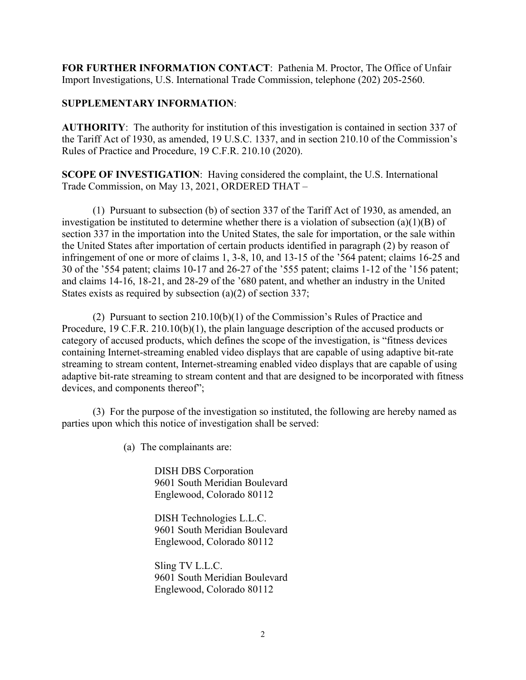**FOR FURTHER INFORMATION CONTACT**: Pathenia M. Proctor, The Office of Unfair Import Investigations, U.S. International Trade Commission, telephone (202) 205-2560.

## **SUPPLEMENTARY INFORMATION**:

**AUTHORITY**: The authority for institution of this investigation is contained in section 337 of the Tariff Act of 1930, as amended, 19 U.S.C. 1337, and in section 210.10 of the Commission's Rules of Practice and Procedure, 19 C.F.R. 210.10 (2020).

**SCOPE OF INVESTIGATION**: Having considered the complaint, the U.S. International Trade Commission, on May 13, 2021, ORDERED THAT –

(1) Pursuant to subsection (b) of section 337 of the Tariff Act of 1930, as amended, an investigation be instituted to determine whether there is a violation of subsection (a)(1)(B) of section 337 in the importation into the United States, the sale for importation, or the sale within the United States after importation of certain products identified in paragraph (2) by reason of infringement of one or more of claims 1, 3-8, 10, and 13-15 of the '564 patent; claims 16-25 and 30 of the '554 patent; claims 10-17 and 26-27 of the '555 patent; claims 1-12 of the '156 patent; and claims 14-16, 18-21, and 28-29 of the '680 patent, and whether an industry in the United States exists as required by subsection (a)(2) of section 337;

(2) Pursuant to section 210.10(b)(1) of the Commission's Rules of Practice and Procedure, 19 C.F.R. 210.10(b)(1), the plain language description of the accused products or category of accused products, which defines the scope of the investigation, is "fitness devices containing Internet-streaming enabled video displays that are capable of using adaptive bit-rate streaming to stream content, Internet-streaming enabled video displays that are capable of using adaptive bit-rate streaming to stream content and that are designed to be incorporated with fitness devices, and components thereof";

(3) For the purpose of the investigation so instituted, the following are hereby named as parties upon which this notice of investigation shall be served:

(a) The complainants are:

DISH DBS Corporation 9601 South Meridian Boulevard Englewood, Colorado 80112

DISH Technologies L.L.C. 9601 South Meridian Boulevard Englewood, Colorado 80112

Sling TV L.L.C. 9601 South Meridian Boulevard Englewood, Colorado 80112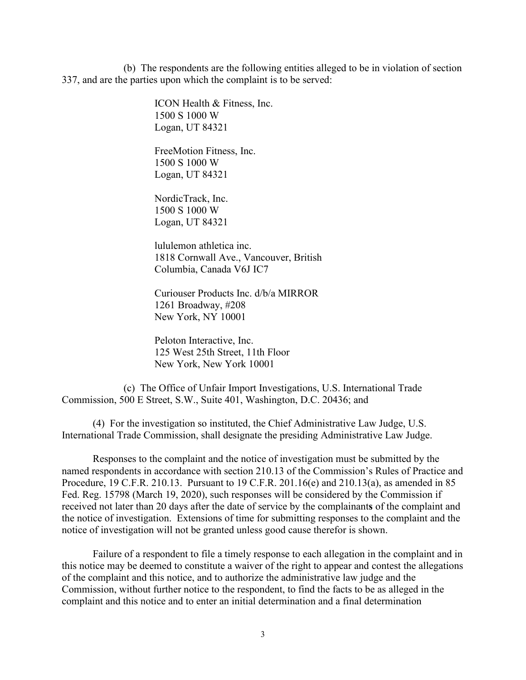(b) The respondents are the following entities alleged to be in violation of section 337, and are the parties upon which the complaint is to be served:

> ICON Health & Fitness, Inc. 1500 S 1000 W Logan, UT 84321

FreeMotion Fitness, Inc. 1500 S 1000 W Logan, UT 84321

NordicTrack, Inc. 1500 S 1000 W Logan, UT 84321

lululemon athletica inc. 1818 Cornwall Ave., Vancouver, British Columbia, Canada V6J IC7

Curiouser Products Inc. d/b/a MIRROR 1261 Broadway, #208 New York, NY 10001

Peloton Interactive, Inc. 125 West 25th Street, 11th Floor New York, New York 10001

(c) The Office of Unfair Import Investigations, U.S. International Trade Commission, 500 E Street, S.W., Suite 401, Washington, D.C. 20436; and

(4) For the investigation so instituted, the Chief Administrative Law Judge, U.S. International Trade Commission, shall designate the presiding Administrative Law Judge.

Responses to the complaint and the notice of investigation must be submitted by the named respondents in accordance with section 210.13 of the Commission's Rules of Practice and Procedure, 19 C.F.R. 210.13. Pursuant to 19 C.F.R. 201.16(e) and 210.13(a), as amended in 85 Fed. Reg. 15798 (March 19, 2020), such responses will be considered by the Commission if received not later than 20 days after the date of service by the complainant**s** of the complaint and the notice of investigation. Extensions of time for submitting responses to the complaint and the notice of investigation will not be granted unless good cause therefor is shown.

Failure of a respondent to file a timely response to each allegation in the complaint and in this notice may be deemed to constitute a waiver of the right to appear and contest the allegations of the complaint and this notice, and to authorize the administrative law judge and the Commission, without further notice to the respondent, to find the facts to be as alleged in the complaint and this notice and to enter an initial determination and a final determination